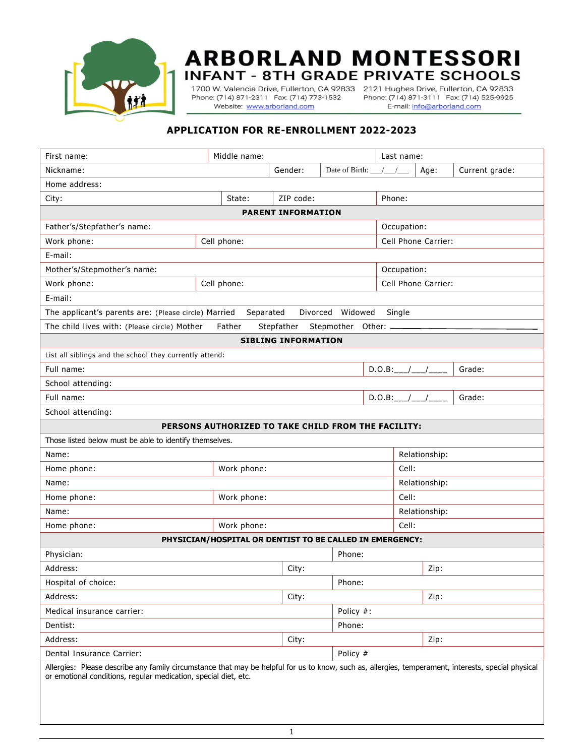

## **ARBORLAND MONTESSORI INFANT - 8TH GRADE PRIVATE SCHOOLS**

Phone: (714) 871-2311 Fax: (714) 773-1532 Website: www.arborland.com

1700 W. Valencia Drive, Fullerton, CA 92833 2121 Hughes Drive, Fullerton, CA 92833 Phone: (714) 871-3111 Fax: (714) 525-9925 E-mail: info@arborland.com

## **APPLICATION FOR RE-ENROLLMENT 2022-2023**

| First name:                                                                                                                                                                                                            | Middle name:        |          |                          |                    | Last name:          |                    |                |  |  |  |  |
|------------------------------------------------------------------------------------------------------------------------------------------------------------------------------------------------------------------------|---------------------|----------|--------------------------|--------------------|---------------------|--------------------|----------------|--|--|--|--|
| Nickname:                                                                                                                                                                                                              |                     | Gender:  | Date of Birth: __/__/___ |                    |                     | Age:               | Current grade: |  |  |  |  |
| Home address:                                                                                                                                                                                                          |                     |          |                          |                    |                     |                    |                |  |  |  |  |
| City:                                                                                                                                                                                                                  | ZIP code:<br>State: |          |                          |                    | Phone:              |                    |                |  |  |  |  |
| <b>PARENT INFORMATION</b>                                                                                                                                                                                              |                     |          |                          |                    |                     |                    |                |  |  |  |  |
| Father's/Stepfather's name:                                                                                                                                                                                            |                     |          |                          |                    | Occupation:         |                    |                |  |  |  |  |
| Work phone:                                                                                                                                                                                                            | Cell phone:         |          |                          |                    | Cell Phone Carrier: |                    |                |  |  |  |  |
| E-mail:                                                                                                                                                                                                                |                     |          |                          |                    |                     |                    |                |  |  |  |  |
| Mother's/Stepmother's name:                                                                                                                                                                                            |                     |          |                          |                    | Occupation:         |                    |                |  |  |  |  |
| Work phone:                                                                                                                                                                                                            | Cell phone:         |          |                          |                    | Cell Phone Carrier: |                    |                |  |  |  |  |
| E-mail:                                                                                                                                                                                                                |                     |          |                          |                    |                     |                    |                |  |  |  |  |
| The applicant's parents are: (Please circle) Married<br>Separated<br>Divorced<br>Widowed<br>Single                                                                                                                     |                     |          |                          |                    |                     |                    |                |  |  |  |  |
| The child lives with: (Please circle) Mother<br>Father<br>Stepfather<br>Stepmother Other: _                                                                                                                            |                     |          |                          |                    |                     |                    |                |  |  |  |  |
| <b>SIBLING INFORMATION</b>                                                                                                                                                                                             |                     |          |                          |                    |                     |                    |                |  |  |  |  |
| List all siblings and the school they currently attend:                                                                                                                                                                |                     |          |                          |                    |                     |                    |                |  |  |  |  |
| Full name:                                                                                                                                                                                                             |                     |          |                          | $D.O.B:$ __/__/___ |                     |                    | Grade:         |  |  |  |  |
| School attending:                                                                                                                                                                                                      |                     |          |                          |                    |                     |                    |                |  |  |  |  |
| Full name:                                                                                                                                                                                                             |                     |          |                          |                    |                     | $D.0.B:$ __/__/___ | Grade:         |  |  |  |  |
| School attending:                                                                                                                                                                                                      |                     |          |                          |                    |                     |                    |                |  |  |  |  |
| PERSONS AUTHORIZED TO TAKE CHILD FROM THE FACILITY:                                                                                                                                                                    |                     |          |                          |                    |                     |                    |                |  |  |  |  |
| Those listed below must be able to identify themselves.                                                                                                                                                                |                     |          |                          |                    |                     |                    |                |  |  |  |  |
| Name:                                                                                                                                                                                                                  |                     |          |                          |                    |                     | Relationship:      |                |  |  |  |  |
| Home phone:<br>Work phone:                                                                                                                                                                                             |                     |          |                          |                    | Cell:               |                    |                |  |  |  |  |
| Name:                                                                                                                                                                                                                  |                     |          |                          |                    | Relationship:       |                    |                |  |  |  |  |
| Home phone:<br>Work phone:                                                                                                                                                                                             |                     |          |                          |                    | Cell:               |                    |                |  |  |  |  |
| Name:                                                                                                                                                                                                                  |                     |          |                          |                    | Relationship:       |                    |                |  |  |  |  |
| Home phone:                                                                                                                                                                                                            | Work phone:         |          |                          |                    | Cell:               |                    |                |  |  |  |  |
| PHYSICIAN/HOSPITAL OR DENTIST TO BE CALLED IN EMERGENCY:                                                                                                                                                               |                     |          |                          |                    |                     |                    |                |  |  |  |  |
| Physician:                                                                                                                                                                                                             |                     |          | Phone:                   |                    |                     |                    |                |  |  |  |  |
| Address:                                                                                                                                                                                                               |                     | City:    |                          |                    |                     | Zip:               |                |  |  |  |  |
| Hospital of choice:                                                                                                                                                                                                    |                     | Phone:   |                          |                    |                     |                    |                |  |  |  |  |
| Address:                                                                                                                                                                                                               |                     | City:    |                          |                    |                     | Zip:               |                |  |  |  |  |
| Medical insurance carrier:                                                                                                                                                                                             |                     |          | Policy #:                |                    |                     |                    |                |  |  |  |  |
| Phone:<br>Dentist:                                                                                                                                                                                                     |                     |          |                          |                    |                     |                    |                |  |  |  |  |
| Address:                                                                                                                                                                                                               |                     |          |                          | Zip:               |                     |                    |                |  |  |  |  |
| Dental Insurance Carrier:                                                                                                                                                                                              |                     | Policy # |                          |                    |                     |                    |                |  |  |  |  |
| Allergies: Please describe any family circumstance that may be helpful for us to know, such as, allergies, temperament, interests, special physical<br>or emotional conditions, regular medication, special diet, etc. |                     |          |                          |                    |                     |                    |                |  |  |  |  |